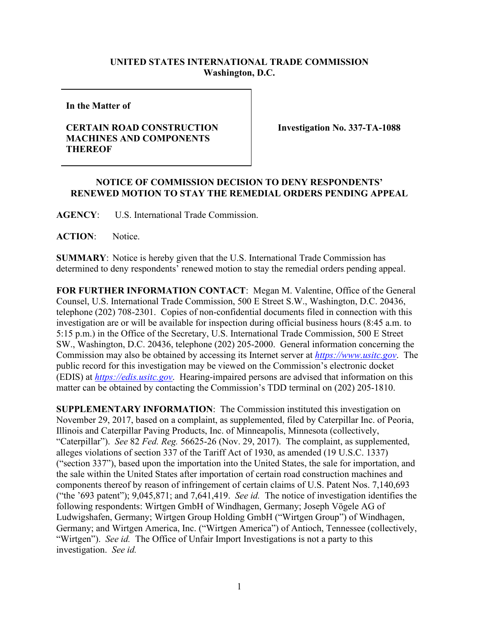## **UNITED STATES INTERNATIONAL TRADE COMMISSION Washington, D.C.**

**In the Matter of**

## **CERTAIN ROAD CONSTRUCTION MACHINES AND COMPONENTS THEREOF**

**Investigation No. 337-TA-1088**

## **NOTICE OF COMMISSION DECISION TO DENY RESPONDENTS' RENEWED MOTION TO STAY THE REMEDIAL ORDERS PENDING APPEAL**

**AGENCY**: U.S. International Trade Commission.

**ACTION**: Notice.

**SUMMARY**: Notice is hereby given that the U.S. International Trade Commission has determined to deny respondents' renewed motion to stay the remedial orders pending appeal.

**FOR FURTHER INFORMATION CONTACT**: Megan M. Valentine, Office of the General Counsel, U.S. International Trade Commission, 500 E Street S.W., Washington, D.C. 20436, telephone (202) 708-2301. Copies of non-confidential documents filed in connection with this investigation are or will be available for inspection during official business hours (8:45 a.m. to 5:15 p.m.) in the Office of the Secretary, U.S. International Trade Commission, 500 E Street SW., Washington, D.C. 20436, telephone (202) 205-2000. General information concerning the Commission may also be obtained by accessing its Internet server at *[https://www.usitc.gov](https://www.usitc.gov/)*. The public record for this investigation may be viewed on the Commission's electronic docket (EDIS) at *[https://edis.usitc.gov](http://edis.usitc.gov/)*. Hearing-impaired persons are advised that information on this matter can be obtained by contacting the Commission's TDD terminal on (202) 205-1810.

**SUPPLEMENTARY INFORMATION**: The Commission instituted this investigation on November 29, 2017, based on a complaint, as supplemented, filed by Caterpillar Inc. of Peoria, Illinois and Caterpillar Paving Products, Inc. of Minneapolis, Minnesota (collectively, "Caterpillar"). *See* 82 *Fed. Reg.* 56625-26 (Nov. 29, 2017). The complaint, as supplemented, alleges violations of section 337 of the Tariff Act of 1930, as amended (19 U.S.C. 1337) ("section 337"), based upon the importation into the United States, the sale for importation, and the sale within the United States after importation of certain road construction machines and components thereof by reason of infringement of certain claims of U.S. Patent Nos. 7,140,693 ("the '693 patent"); 9,045,871; and 7,641,419. *See id.* The notice of investigation identifies the following respondents: Wirtgen GmbH of Windhagen, Germany; Joseph Vögele AG of Ludwigshafen, Germany; Wirtgen Group Holding GmbH ("Wirtgen Group") of Windhagen, Germany; and Wirtgen America, Inc. ("Wirtgen America") of Antioch, Tennessee (collectively, "Wirtgen"). *See id.* The Office of Unfair Import Investigations is not a party to this investigation. *See id.*